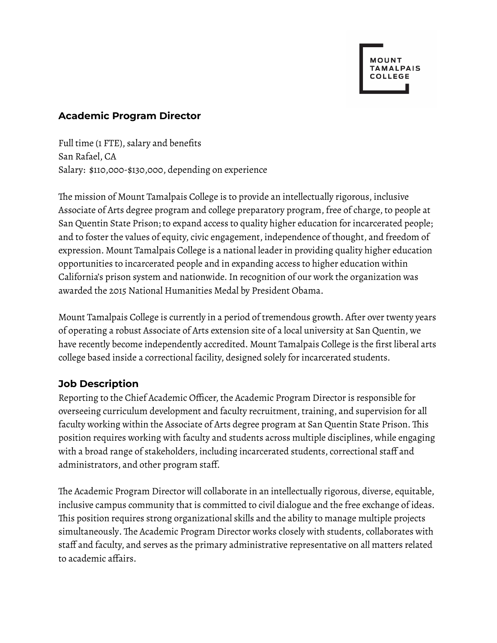### **Academic Program Director**

Full time (1 FTE), salary and benefits San Rafael, CA Salary: \$110,000-\$130,000, depending on experience

The mission of Mount Tamalpais College is to provide an intellectually rigorous, inclusive Associate of Arts degree program and college preparatory program, free of charge, to people at San Quentin State Prison; to expand access to quality higher education for incarcerated people; and to foster the values of equity, civic engagement, independence of thought, and freedom of expression. Mount Tamalpais College is a national leader in providing quality higher education opportunities to incarcerated people and in expanding access to higher education within California's prison system and nationwide.In recognition of our work the organization was awarded the 2015 National Humanities Medal by President Obama.

Mount Tamalpais College is currently in a period of tremendous growth. After over twenty years of operating a robust Associate of Arts extension site of a local university at San Quentin, we have recently become independently accredited. Mount Tamalpais College is the first liberal arts college based inside a correctional facility, designed solely for incarcerated students.

# **Job Description**

Reporting to the Chief Academic Officer, the Academic Program Director is responsible for overseeing curriculum development and faculty recruitment, training, and supervision for all faculty working within the Associate of Arts degree program at San Quentin State Prison. This position requires working with faculty and students across multiple disciplines, while engaging with a broad range of stakeholders, including incarcerated students, correctional staff and administrators, and other program staff.

The Academic Program Director will collaborate in an intellectually rigorous, diverse, equitable, inclusive campus community that is committed to civil dialogue and the free exchange of ideas. This position requires strong organizational skills and the ability to manage multiple projects simultaneously. The Academic Program Director works closely with students, collaborates with staff and faculty, and serves as the primary administrative representative on all matters related to academic affairs.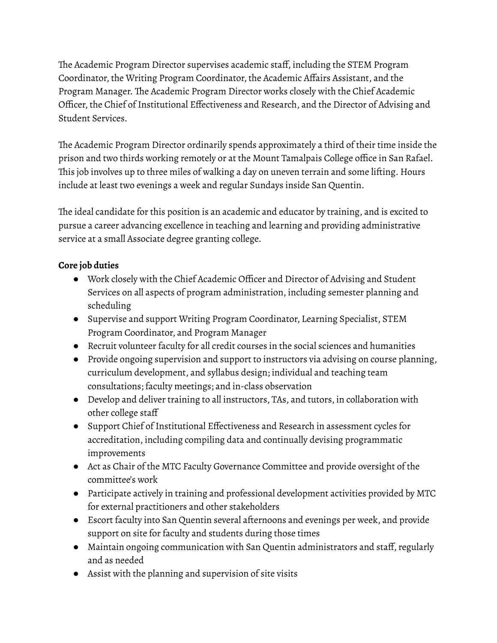The Academic Program Director supervises academic staff, including the STEM Program Coordinator, the Writing Program Coordinator, the Academic Affairs Assistant, and the Program Manager. The Academic Program Director works closely with the Chief Academic Officer, the Chief of Institutional Effectiveness and Research, and the Director of Advising and Student Services.

The Academic Program Director ordinarily spends approximately a third of their time inside the prison and two thirds working remotely or at the Mount Tamalpais College office in San Rafael. This job involves up to three miles of walking a day on uneven terrain and some lifting. Hours include at least two evenings a week and regular Sundays inside San Quentin.

The ideal candidate for this position is an academic and educator by training, and is excited to pursue a career advancing excellence in teaching and learning and providing administrative service at a small Associate degree granting college.

# **Core job duties**

- Work closely with the Chief Academic Officer and Director of Advising and Student Services on all aspects of program administration, including semester planning and scheduling
- Supervise and support Writing Program Coordinator, Learning Specialist, STEM Program Coordinator, and Program Manager
- Recruit volunteer faculty for all credit courses in the social sciences and humanities
- Provide ongoing supervision and support to instructors via advising on course planning, curriculum development, and syllabus design; individual and teaching team consultations; faculty meetings; and in-class observation
- Develop and deliver training to all instructors, TAs, and tutors, in collaboration with other college staff
- Support Chief of Institutional Effectiveness and Research in assessment cycles for accreditation, including compiling data and continually devising programmatic improvements
- Act as Chair of the MTC Faculty Governance Committee and provide oversight of the committee's work
- Participate actively in training and professional development activities provided by MTC for external practitioners and other stakeholders
- Escort faculty into San Quentin several afternoons and evenings per week, and provide support on site for faculty and students during those times
- Maintain ongoing communication with San Quentin administrators and staff,regularly and as needed
- Assist with the planning and supervision of site visits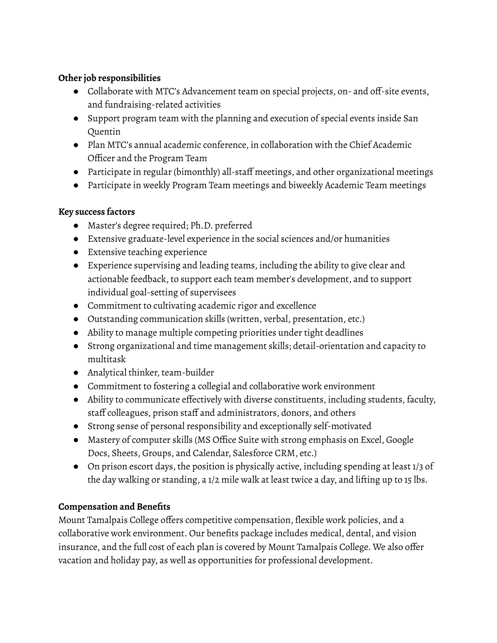### **Other job responsibilities**

- Collaborate with MTC's Advancement team on special projects, on- and off-site events, and fundraising-related activities
- Support program team with the planning and execution of special events inside San Quentin
- Plan MTC's annual academic conference, in collaboration with the Chief Academic Officer and the Program Team
- Participate in regular (bimonthly) all-staff meetings, and other organizational meetings
- Participate in weekly Program Team meetings and biweekly Academic Team meetings

# **Key success factors**

- Master's degree required; Ph.D. preferred
- Extensive graduate-level experience in the social sciences and/or humanities
- Extensive teaching experience
- Experience supervising and leading teams, including the ability to give clear and actionable feedback, to support each team member's development, and to support individual goal-setting of supervisees
- Commitment to cultivating academic rigor and excellence
- Outstanding communication skills (written, verbal, presentation, etc.)
- Ability to manage multiple competing priorities under tight deadlines
- Strong organizational and time management skills; detail-orientation and capacity to multitask
- Analytical thinker, team-builder
- Commitment to fostering a collegial and collaborative work environment
- Ability to communicate effectively with diverse constituents, including students, faculty, staff colleagues, prison staff and administrators, donors, and others
- Strong sense of personal responsibility and exceptionally self-motivated
- Mastery of computer skills (MS Office Suite with strong emphasis on Excel, Google Docs, Sheets, Groups, and Calendar, Salesforce CRM, etc.)
- On prison escort days, the position is physically active, including spending at least 1/3 of the day walking or standing, a 1/2 mile walk at least twice a day, and lifting up to 15 lbs.

# **Compensation and Benefits**

Mount Tamalpais College offers competitive compensation, flexible work policies, and a collaborative work environment. Our benefits package includes medical, dental, and vision insurance, and the full cost of each plan is covered by Mount Tamalpais College. We also offer vacation and holiday pay, as well as opportunities for professional development.